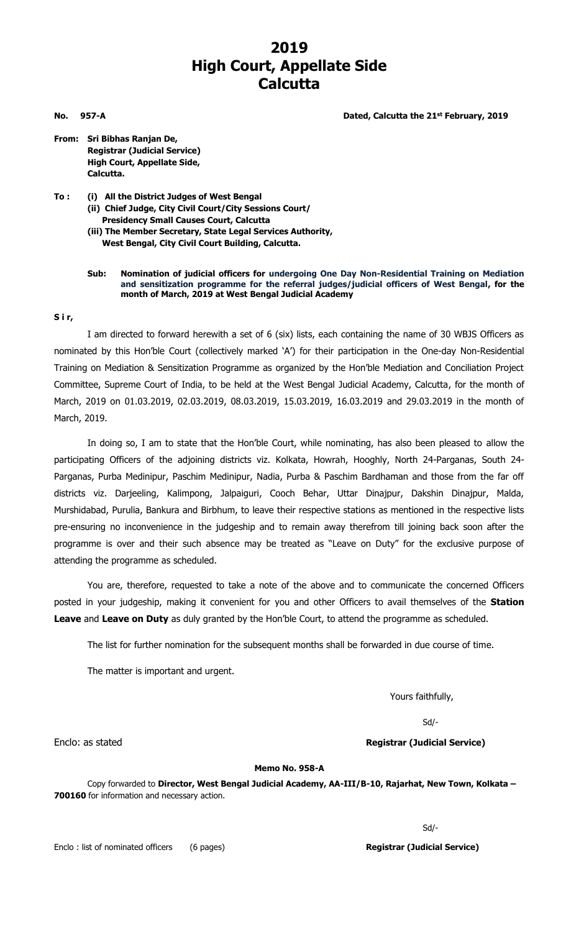## **2019 High Court, Appellate Side Calcutta**

**No. 957-A Dated, Calcutta the 21st February, 2019**

- **From: Sri Bibhas Ranjan De, Registrar (Judicial Service) High Court, Appellate Side, Calcutta.**
- **To : (i) All the District Judges of West Bengal (ii) Chief Judge, City Civil Court/City Sessions Court/ Presidency Small Causes Court, Calcutta (iii) The Member Secretary, State Legal Services Authority, West Bengal, City Civil Court Building, Calcutta.**

#### **Sub: Nomination of judicial officers for undergoing One Day Non-Residential Training on Mediation and sensitization programme for the referral judges/judicial officers of West Bengal, for the month of March, 2019 at West Bengal Judicial Academy**

#### **S i r,**

I am directed to forward herewith a set of 6 (six) lists, each containing the name of 30 WBJS Officers as nominated by this Hon'ble Court (collectively marked 'A') for their participation in the One-day Non-Residential Training on Mediation & Sensitization Programme as organized by the Hon'ble Mediation and Conciliation Project Committee, Supreme Court of India, to be held at the West Bengal Judicial Academy, Calcutta, for the month of March, 2019 on 01.03.2019, 02.03.2019, 08.03.2019, 15.03.2019, 16.03.2019 and 29.03.2019 in the month of March, 2019.

In doing so, I am to state that the Hon'ble Court, while nominating, has also been pleased to allow the participating Officers of the adjoining districts viz. Kolkata, Howrah, Hooghly, North 24-Parganas, South 24- Parganas, Purba Medinipur, Paschim Medinipur, Nadia, Purba & Paschim Bardhaman and those from the far off districts viz. Darjeeling, Kalimpong, Jalpaiguri, Cooch Behar, Uttar Dinajpur, Dakshin Dinajpur, Malda, Murshidabad, Purulia, Bankura and Birbhum, to leave their respective stations as mentioned in the respective lists pre-ensuring no inconvenience in the judgeship and to remain away therefrom till joining back soon after the programme is over and their such absence may be treated as "Leave on Duty" for the exclusive purpose of attending the programme as scheduled.

You are, therefore, requested to take a note of the above and to communicate the concerned Officers posted in your judgeship, making it convenient for you and other Officers to avail themselves of the **Station Leave** and **Leave on Duty** as duly granted by the Hon'ble Court, to attend the programme as scheduled.

The list for further nomination for the subsequent months shall be forwarded in due course of time.

The matter is important and urgent.

Yours faithfully,

Sd/-

Enclo: as stated **Registrar (Judicial Service)**

#### **Memo No. 958-A**

Copy forwarded to **Director, West Bengal Judicial Academy, AA-III/B-10, Rajarhat, New Town, Kolkata – 700160** for information and necessary action.

Sd/-

Enclo : list of nominated officers (6 pages) **Registrar (Judicial Service)**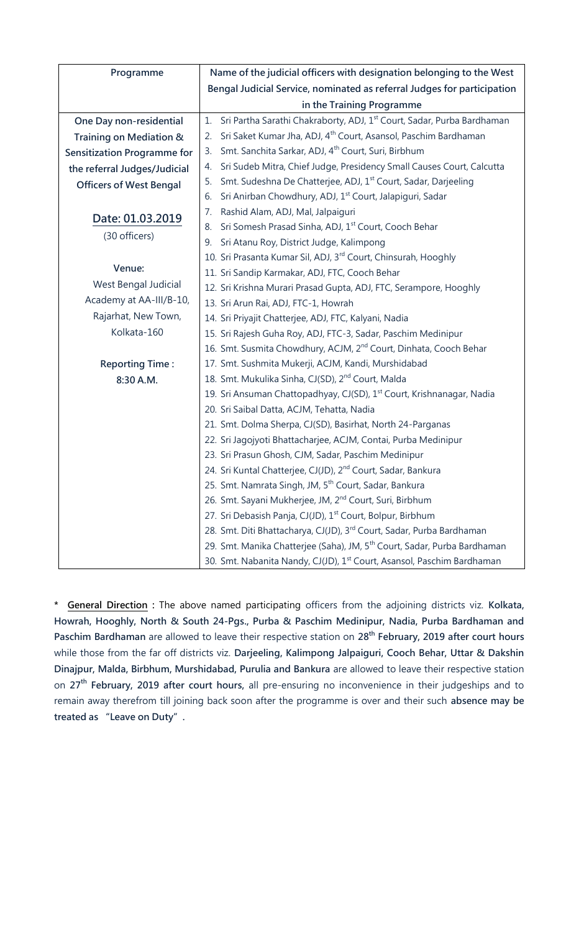| Programme                          | Name of the judicial officers with designation belonging to the West                     |
|------------------------------------|------------------------------------------------------------------------------------------|
|                                    | Bengal Judicial Service, nominated as referral Judges for participation                  |
|                                    | in the Training Programme                                                                |
| One Day non-residential            | Sri Partha Sarathi Chakraborty, ADJ, 1 <sup>st</sup> Court, Sadar, Purba Bardhaman<br>1. |
| Training on Mediation &            | Sri Saket Kumar Jha, ADJ, 4 <sup>th</sup> Court, Asansol, Paschim Bardhaman<br>2.        |
| <b>Sensitization Programme for</b> | Smt. Sanchita Sarkar, ADJ, 4 <sup>th</sup> Court, Suri, Birbhum<br>3.                    |
| the referral Judges/Judicial       | Sri Sudeb Mitra, Chief Judge, Presidency Small Causes Court, Calcutta<br>4.              |
| <b>Officers of West Bengal</b>     | Smt. Sudeshna De Chatterjee, ADJ, 1 <sup>st</sup> Court, Sadar, Darjeeling<br>5.         |
|                                    | Sri Anirban Chowdhury, ADJ, 1 <sup>st</sup> Court, Jalapiguri, Sadar<br>6.               |
| Date: 01.03.2019                   | Rashid Alam, ADJ, Mal, Jalpaiguri<br>7.                                                  |
| (30 officers)                      | Sri Somesh Prasad Sinha, ADJ, 1 <sup>st</sup> Court, Cooch Behar<br>8.                   |
|                                    | Sri Atanu Roy, District Judge, Kalimpong<br>9.                                           |
|                                    | 10. Sri Prasanta Kumar Sil, ADJ, 3 <sup>rd</sup> Court, Chinsurah, Hooghly               |
| Venue:                             | 11. Sri Sandip Karmakar, ADJ, FTC, Cooch Behar                                           |
| West Bengal Judicial               | 12. Sri Krishna Murari Prasad Gupta, ADJ, FTC, Serampore, Hooghly                        |
| Academy at AA-III/B-10,            | 13. Sri Arun Rai, ADJ, FTC-1, Howrah                                                     |
| Rajarhat, New Town,                | 14. Sri Priyajit Chatterjee, ADJ, FTC, Kalyani, Nadia                                    |
| Kolkata-160                        | 15. Sri Rajesh Guha Roy, ADJ, FTC-3, Sadar, Paschim Medinipur                            |
|                                    | 16. Smt. Susmita Chowdhury, ACJM, 2 <sup>nd</sup> Court, Dinhata, Cooch Behar            |
| <b>Reporting Time:</b>             | 17. Smt. Sushmita Mukerji, ACJM, Kandi, Murshidabad                                      |
| 8:30 A.M.                          | 18. Smt. Mukulika Sinha, CJ(SD), 2 <sup>nd</sup> Court, Malda                            |
|                                    | 19. Sri Ansuman Chattopadhyay, CJ(SD), 1 <sup>st</sup> Court, Krishnanagar, Nadia        |
|                                    | 20. Sri Saibal Datta, ACJM, Tehatta, Nadia                                               |
|                                    | 21. Smt. Dolma Sherpa, CJ(SD), Basirhat, North 24-Parganas                               |
|                                    | 22. Sri Jagojyoti Bhattacharjee, ACJM, Contai, Purba Medinipur                           |
|                                    | 23. Sri Prasun Ghosh, CJM, Sadar, Paschim Medinipur                                      |
|                                    | 24. Sri Kuntal Chatterjee, CJ(JD), 2 <sup>nd</sup> Court, Sadar, Bankura                 |
|                                    | 25. Smt. Namrata Singh, JM, 5 <sup>th</sup> Court, Sadar, Bankura                        |
|                                    | 26. Smt. Sayani Mukherjee, JM, 2 <sup>nd</sup> Court, Suri, Birbhum                      |
|                                    | 27. Sri Debasish Panja, CJ(JD), 1st Court, Bolpur, Birbhum                               |
|                                    | 28. Smt. Diti Bhattacharya, CJ(JD), 3 <sup>rd</sup> Court, Sadar, Purba Bardhaman        |
|                                    | 29. Smt. Manika Chatterjee (Saha), JM, 5 <sup>th</sup> Court, Sadar, Purba Bardhaman     |
|                                    | 30. Smt. Nabanita Nandy, CJ(JD), 1 <sup>st</sup> Court, Asansol, Paschim Bardhaman       |

**\* General Direction :** The above named participating officers from the adjoining districts viz. **Kolkata, Howrah, Hooghly, North & South 24-Pgs., Purba & Paschim Medinipur, Nadia, Purba Bardhaman and Paschim Bardhaman** are allowed to leave their respective station on **28th February, 2019 after court hours** while those from the far off districts viz. **Darjeeling, Kalimpong Jalpaiguri, Cooch Behar, Uttar & Dakshin Dinajpur, Malda, Birbhum, Murshidabad, Purulia and Bankura** are allowed to leave their respective station on **27th February, 2019 after court hours,** all pre-ensuring no inconvenience in their judgeships and to remain away therefrom till joining back soon after the programme is over and their such **absence may be treated as "Leave on Duty".**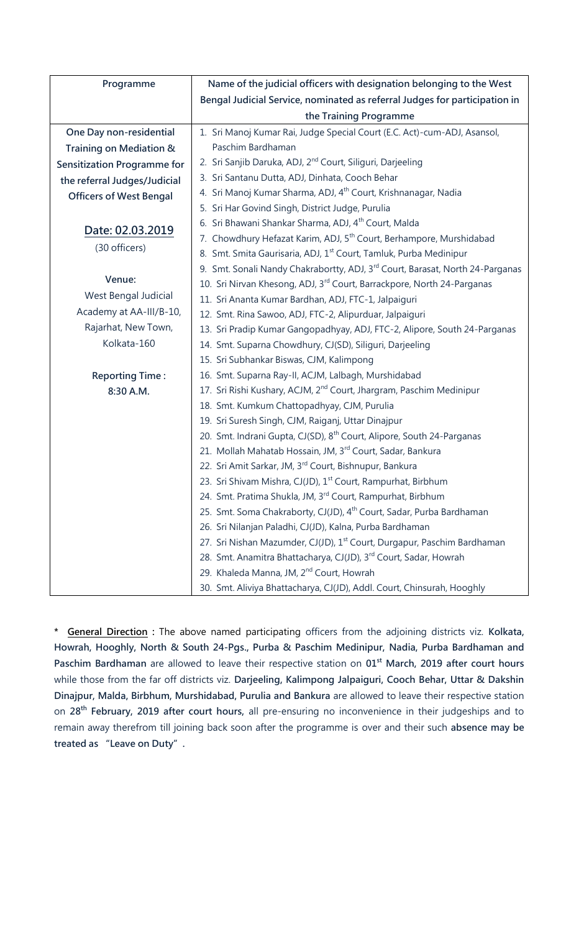| Programme                          | Name of the judicial officers with designation belonging to the West                      |
|------------------------------------|-------------------------------------------------------------------------------------------|
|                                    | Bengal Judicial Service, nominated as referral Judges for participation in                |
|                                    | the Training Programme                                                                    |
| One Day non-residential            | 1. Sri Manoj Kumar Rai, Judge Special Court (E.C. Act)-cum-ADJ, Asansol,                  |
| Training on Mediation &            | Paschim Bardhaman                                                                         |
| <b>Sensitization Programme for</b> | 2. Sri Sanjib Daruka, ADJ, 2 <sup>nd</sup> Court, Siliguri, Darjeeling                    |
| the referral Judges/Judicial       | 3. Sri Santanu Dutta, ADJ, Dinhata, Cooch Behar                                           |
| <b>Officers of West Bengal</b>     | 4. Sri Manoj Kumar Sharma, ADJ, 4 <sup>th</sup> Court, Krishnanagar, Nadia                |
|                                    | 5. Sri Har Govind Singh, District Judge, Purulia                                          |
| Date: 02.03.2019                   | 6. Sri Bhawani Shankar Sharma, ADJ, 4 <sup>th</sup> Court, Malda                          |
| (30 officers)                      | 7. Chowdhury Hefazat Karim, ADJ, 5 <sup>th</sup> Court, Berhampore, Murshidabad           |
|                                    | 8. Smt. Smita Gaurisaria, ADJ, 1 <sup>st</sup> Court, Tamluk, Purba Medinipur             |
|                                    | 9. Smt. Sonali Nandy Chakrabortty, ADJ, 3 <sup>rd</sup> Court, Barasat, North 24-Parganas |
| Venue:                             | 10. Sri Nirvan Khesong, ADJ, 3 <sup>rd</sup> Court, Barrackpore, North 24-Parganas        |
| West Bengal Judicial               | 11. Sri Ananta Kumar Bardhan, ADJ, FTC-1, Jalpaiguri                                      |
| Academy at AA-III/B-10,            | 12. Smt. Rina Sawoo, ADJ, FTC-2, Alipurduar, Jalpaiguri                                   |
| Rajarhat, New Town,                | 13. Sri Pradip Kumar Gangopadhyay, ADJ, FTC-2, Alipore, South 24-Parganas                 |
| Kolkata-160                        | 14. Smt. Suparna Chowdhury, CJ(SD), Siliguri, Darjeeling                                  |
|                                    | 15. Sri Subhankar Biswas, CJM, Kalimpong                                                  |
| <b>Reporting Time:</b>             | 16. Smt. Suparna Ray-II, ACJM, Lalbagh, Murshidabad                                       |
| 8:30 A.M.                          | 17. Sri Rishi Kushary, ACJM, 2 <sup>nd</sup> Court, Jhargram, Paschim Medinipur           |
|                                    | 18. Smt. Kumkum Chattopadhyay, CJM, Purulia                                               |
|                                    | 19. Sri Suresh Singh, CJM, Raiganj, Uttar Dinajpur                                        |
|                                    | 20. Smt. Indrani Gupta, CJ(SD), 8 <sup>th</sup> Court, Alipore, South 24-Parganas         |
|                                    | 21. Mollah Mahatab Hossain, JM, 3rd Court, Sadar, Bankura                                 |
|                                    | 22. Sri Amit Sarkar, JM, 3rd Court, Bishnupur, Bankura                                    |
|                                    | 23. Sri Shivam Mishra, CJ(JD), 1 <sup>st</sup> Court, Rampurhat, Birbhum                  |
|                                    | 24. Smt. Pratima Shukla, JM, 3rd Court, Rampurhat, Birbhum                                |
|                                    | 25. Smt. Soma Chakraborty, CJ(JD), 4 <sup>th</sup> Court, Sadar, Purba Bardhaman          |
|                                    | 26. Sri Nilanjan Paladhi, CJ(JD), Kalna, Purba Bardhaman                                  |
|                                    | 27. Sri Nishan Mazumder, CJ(JD), 1 <sup>st</sup> Court, Durgapur, Paschim Bardhaman       |
|                                    | 28. Smt. Anamitra Bhattacharya, CJ(JD), 3rd Court, Sadar, Howrah                          |
|                                    | 29. Khaleda Manna, JM, 2 <sup>nd</sup> Court, Howrah                                      |
|                                    | 30. Smt. Aliviya Bhattacharya, CJ(JD), Addl. Court, Chinsurah, Hooghly                    |

**\* General Direction :** The above named participating officers from the adjoining districts viz. **Kolkata, Howrah, Hooghly, North & South 24-Pgs., Purba & Paschim Medinipur, Nadia, Purba Bardhaman and Paschim Bardhaman** are allowed to leave their respective station on **01st March, 2019 after court hours** while those from the far off districts viz. **Darjeeling, Kalimpong Jalpaiguri, Cooch Behar, Uttar & Dakshin Dinajpur, Malda, Birbhum, Murshidabad, Purulia and Bankura** are allowed to leave their respective station on **28 th February, 2019 after court hours,** all pre-ensuring no inconvenience in their judgeships and to remain away therefrom till joining back soon after the programme is over and their such **absence may be treated as "Leave on Duty".**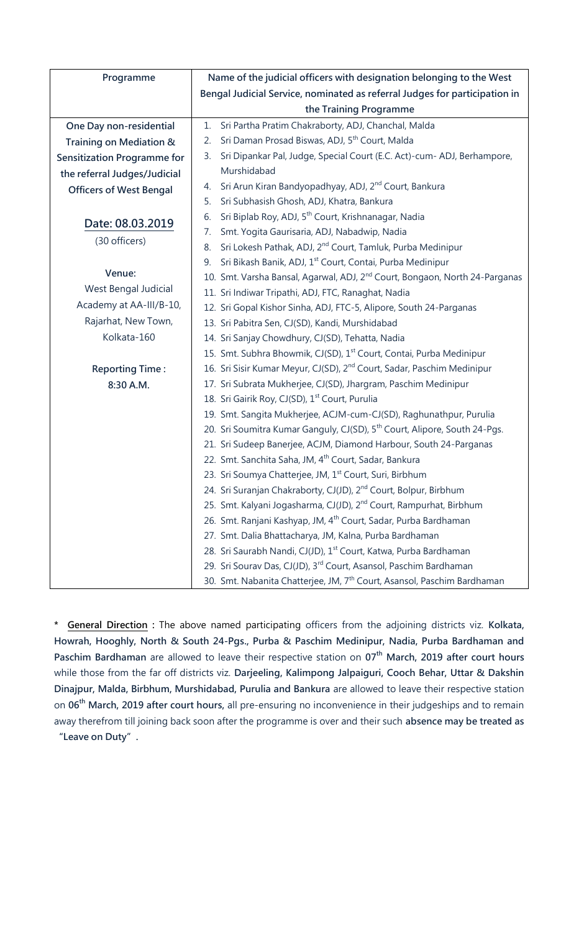| Programme                          | Name of the judicial officers with designation belonging to the West                    |
|------------------------------------|-----------------------------------------------------------------------------------------|
|                                    | Bengal Judicial Service, nominated as referral Judges for participation in              |
|                                    | the Training Programme                                                                  |
| One Day non-residential            | Sri Partha Pratim Chakraborty, ADJ, Chanchal, Malda<br>1.                               |
| Training on Mediation &            | Sri Daman Prosad Biswas, ADJ, 5 <sup>th</sup> Court, Malda<br>2.                        |
| <b>Sensitization Programme for</b> | Sri Dipankar Pal, Judge, Special Court (E.C. Act)-cum- ADJ, Berhampore,<br>3.           |
| the referral Judges/Judicial       | Murshidabad                                                                             |
| <b>Officers of West Bengal</b>     | Sri Arun Kiran Bandyopadhyay, ADJ, 2 <sup>nd</sup> Court, Bankura<br>4.                 |
|                                    | Sri Subhasish Ghosh, ADJ, Khatra, Bankura<br>5.                                         |
| Date: 08.03.2019                   | Sri Biplab Roy, ADJ, 5 <sup>th</sup> Court, Krishnanagar, Nadia<br>6.                   |
| (30 officers)                      | Smt. Yogita Gaurisaria, ADJ, Nabadwip, Nadia<br>7.                                      |
|                                    | Sri Lokesh Pathak, ADJ, 2 <sup>nd</sup> Court, Tamluk, Purba Medinipur<br>8.            |
|                                    | Sri Bikash Banik, ADJ, 1 <sup>st</sup> Court, Contai, Purba Medinipur<br>9.             |
| Venue:                             | 10. Smt. Varsha Bansal, Agarwal, ADJ, 2 <sup>nd</sup> Court, Bongaon, North 24-Parganas |
| West Bengal Judicial               | 11. Sri Indiwar Tripathi, ADJ, FTC, Ranaghat, Nadia                                     |
| Academy at AA-III/B-10,            | 12. Sri Gopal Kishor Sinha, ADJ, FTC-5, Alipore, South 24-Parganas                      |
| Rajarhat, New Town,                | 13. Sri Pabitra Sen, CJ(SD), Kandi, Murshidabad                                         |
| Kolkata-160                        | 14. Sri Sanjay Chowdhury, CJ(SD), Tehatta, Nadia                                        |
|                                    | 15. Smt. Subhra Bhowmik, CJ(SD), 1 <sup>st</sup> Court, Contai, Purba Medinipur         |
| <b>Reporting Time:</b>             | 16. Sri Sisir Kumar Meyur, CJ(SD), 2 <sup>nd</sup> Court, Sadar, Paschim Medinipur      |
| 8:30 A.M.                          | 17. Sri Subrata Mukherjee, CJ(SD), Jhargram, Paschim Medinipur                          |
|                                    | 18. Sri Gairik Roy, CJ(SD), 1 <sup>st</sup> Court, Purulia                              |
|                                    | 19. Smt. Sangita Mukherjee, ACJM-cum-CJ(SD), Raghunathpur, Purulia                      |
|                                    | 20. Sri Soumitra Kumar Ganguly, CJ(SD), 5 <sup>th</sup> Court, Alipore, South 24-Pgs.   |
|                                    | 21. Sri Sudeep Banerjee, ACJM, Diamond Harbour, South 24-Parganas                       |
|                                    | 22. Smt. Sanchita Saha, JM, 4 <sup>th</sup> Court, Sadar, Bankura                       |
|                                    | 23. Sri Soumya Chatterjee, JM, 1 <sup>st</sup> Court, Suri, Birbhum                     |
|                                    | 24. Sri Suranjan Chakraborty, CJ(JD), 2 <sup>nd</sup> Court, Bolpur, Birbhum            |
|                                    | 25. Smt. Kalyani Jogasharma, CJ(JD), 2 <sup>nd</sup> Court, Rampurhat, Birbhum          |
|                                    | 26. Smt. Ranjani Kashyap, JM, 4 <sup>th</sup> Court, Sadar, Purba Bardhaman             |
|                                    | 27. Smt. Dalia Bhattacharya, JM, Kalna, Purba Bardhaman                                 |
|                                    | 28. Sri Saurabh Nandi, CJ(JD), 1 <sup>st</sup> Court, Katwa, Purba Bardhaman            |
|                                    | 29. Sri Sourav Das, CJ(JD), 3 <sup>rd</sup> Court, Asansol, Paschim Bardhaman           |
|                                    | 30. Smt. Nabanita Chatterjee, JM, 7 <sup>th</sup> Court, Asansol, Paschim Bardhaman     |

**\* General Direction :** The above named participating officers from the adjoining districts viz. **Kolkata, Howrah, Hooghly, North & South 24-Pgs., Purba & Paschim Medinipur, Nadia, Purba Bardhaman and Paschim Bardhaman** are allowed to leave their respective station on **07th March, 2019 after court hours** while those from the far off districts viz. **Darjeeling, Kalimpong Jalpaiguri, Cooch Behar, Uttar & Dakshin Dinajpur, Malda, Birbhum, Murshidabad, Purulia and Bankura** are allowed to leave their respective station on **06th March, 2019 after court hours,** all pre-ensuring no inconvenience in their judgeships and to remain away therefrom till joining back soon after the programme is over and their such **absence may be treated as** 

**"Leave on Duty".**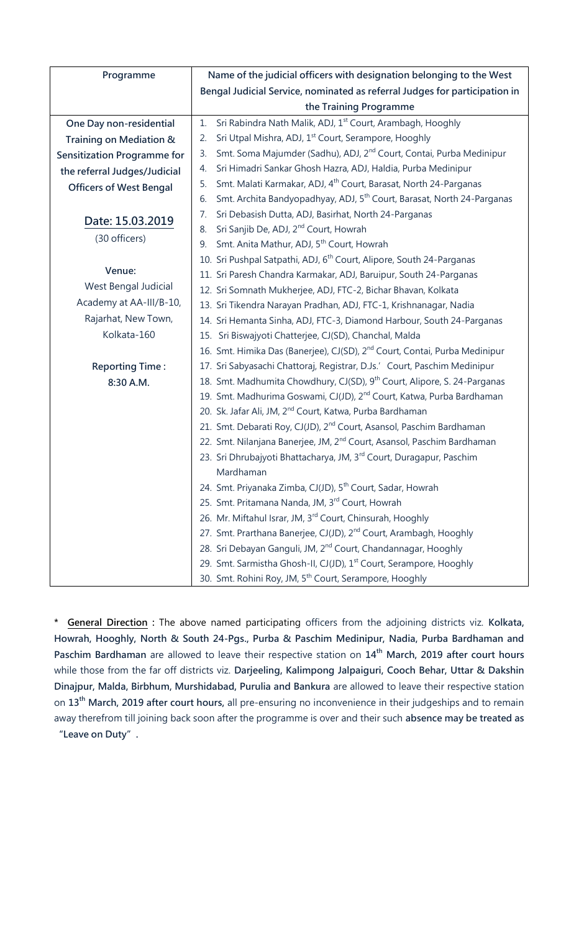| Programme                      | Name of the judicial officers with designation belonging to the West                     |
|--------------------------------|------------------------------------------------------------------------------------------|
|                                | Bengal Judicial Service, nominated as referral Judges for participation in               |
|                                | the Training Programme                                                                   |
| One Day non-residential        | Sri Rabindra Nath Malik, ADJ, 1 <sup>st</sup> Court, Arambagh, Hooghly<br>1.             |
| Training on Mediation &        | Sri Utpal Mishra, ADJ, 1 <sup>st</sup> Court, Serampore, Hooghly<br>2.                   |
| Sensitization Programme for    | Smt. Soma Majumder (Sadhu), ADJ, 2 <sup>nd</sup> Court, Contai, Purba Medinipur<br>3.    |
| the referral Judges/Judicial   | Sri Himadri Sankar Ghosh Hazra, ADJ, Haldia, Purba Medinipur<br>4.                       |
| <b>Officers of West Bengal</b> | Smt. Malati Karmakar, ADJ, 4 <sup>th</sup> Court, Barasat, North 24-Parganas<br>5.       |
|                                | Smt. Archita Bandyopadhyay, ADJ, 5 <sup>th</sup> Court, Barasat, North 24-Parganas<br>6. |
| Date: 15.03.2019               | Sri Debasish Dutta, ADJ, Basirhat, North 24-Parganas<br>7.                               |
| (30 officers)                  | Sri Sanjib De, ADJ, 2 <sup>nd</sup> Court, Howrah<br>8.                                  |
|                                | Smt. Anita Mathur, ADJ, 5 <sup>th</sup> Court, Howrah<br>9.                              |
|                                | 10. Sri Pushpal Satpathi, ADJ, 6 <sup>th</sup> Court, Alipore, South 24-Parganas         |
| Venue:                         | 11. Sri Paresh Chandra Karmakar, ADJ, Baruipur, South 24-Parganas                        |
| West Bengal Judicial           | 12. Sri Somnath Mukherjee, ADJ, FTC-2, Bichar Bhavan, Kolkata                            |
| Academy at AA-III/B-10,        | 13. Sri Tikendra Narayan Pradhan, ADJ, FTC-1, Krishnanagar, Nadia                        |
| Rajarhat, New Town,            | 14. Sri Hemanta Sinha, ADJ, FTC-3, Diamond Harbour, South 24-Parganas                    |
| Kolkata-160                    | 15. Sri Biswajyoti Chatterjee, CJ(SD), Chanchal, Malda                                   |
|                                | 16. Smt. Himika Das (Banerjee), CJ(SD), 2 <sup>nd</sup> Court, Contai, Purba Medinipur   |
| <b>Reporting Time:</b>         | 17. Sri Sabyasachi Chattoraj, Registrar, D.Js.' Court, Paschim Medinipur                 |
| 8:30 A.M.                      | 18. Smt. Madhumita Chowdhury, CJ(SD), 9 <sup>th</sup> Court, Alipore, S. 24-Parganas     |
|                                | 19. Smt. Madhurima Goswami, CJ(JD), 2 <sup>nd</sup> Court, Katwa, Purba Bardhaman        |
|                                | 20. Sk. Jafar Ali, JM, 2 <sup>nd</sup> Court, Katwa, Purba Bardhaman                     |
|                                | 21. Smt. Debarati Roy, CJ(JD), 2 <sup>nd</sup> Court, Asansol, Paschim Bardhaman         |
|                                | 22. Smt. Nilanjana Banerjee, JM, 2 <sup>nd</sup> Court, Asansol, Paschim Bardhaman       |
|                                | 23. Sri Dhrubajyoti Bhattacharya, JM, 3rd Court, Duragapur, Paschim                      |
|                                | Mardhaman                                                                                |
|                                | 24. Smt. Priyanaka Zimba, CJ(JD), 5 <sup>th</sup> Court, Sadar, Howrah                   |
|                                | 25. Smt. Pritamana Nanda, JM, 3rd Court, Howrah                                          |
|                                | 26. Mr. Miftahul Israr, JM, 3rd Court, Chinsurah, Hooghly                                |
|                                | 27. Smt. Prarthana Banerjee, CJ(JD), 2 <sup>nd</sup> Court, Arambagh, Hooghly            |
|                                | 28. Sri Debayan Ganguli, JM, 2 <sup>nd</sup> Court, Chandannagar, Hooghly                |
|                                | 29. Smt. Sarmistha Ghosh-II, CJ(JD), 1st Court, Serampore, Hooghly                       |
|                                | 30. Smt. Rohini Roy, JM, 5 <sup>th</sup> Court, Serampore, Hooghly                       |

**\* General Direction :** The above named participating officers from the adjoining districts viz. **Kolkata, Howrah, Hooghly, North & South 24-Pgs., Purba & Paschim Medinipur, Nadia, Purba Bardhaman and Paschim Bardhaman** are allowed to leave their respective station on **14th March, 2019 after court hours** while those from the far off districts viz. **Darjeeling, Kalimpong Jalpaiguri, Cooch Behar, Uttar & Dakshin Dinajpur, Malda, Birbhum, Murshidabad, Purulia and Bankura** are allowed to leave their respective station on **13th March, 2019 after court hours,** all pre-ensuring no inconvenience in their judgeships and to remain away therefrom till joining back soon after the programme is over and their such **absence may be treated as** 

**"Leave on Duty".**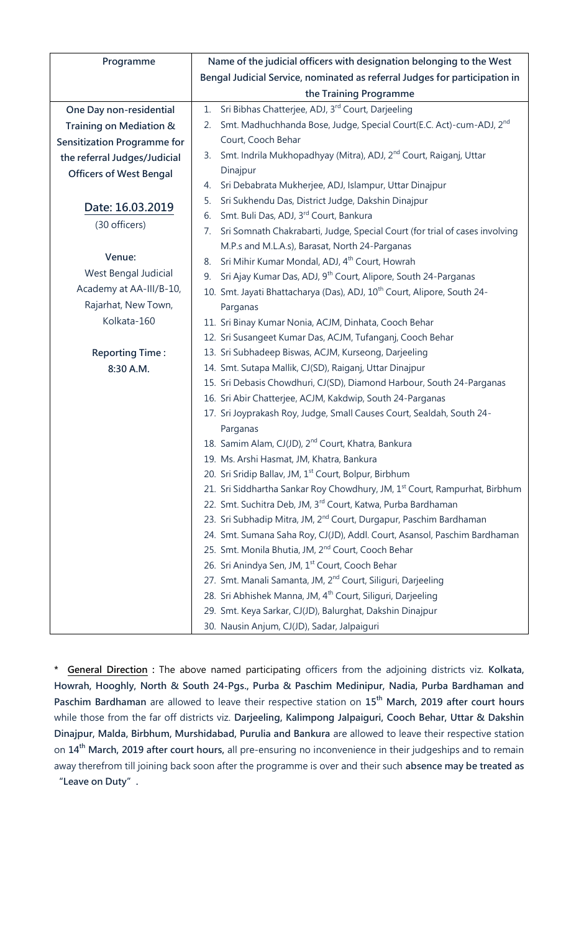| Programme                          | Name of the judicial officers with designation belonging to the West                  |
|------------------------------------|---------------------------------------------------------------------------------------|
|                                    | Bengal Judicial Service, nominated as referral Judges for participation in            |
|                                    | the Training Programme                                                                |
| One Day non-residential            | Sri Bibhas Chatterjee, ADJ, 3rd Court, Darjeeling<br>1.                               |
| Training on Mediation &            | Smt. Madhuchhanda Bose, Judge, Special Court(E.C. Act)-cum-ADJ, 2 <sup>nd</sup><br>2. |
| <b>Sensitization Programme for</b> | Court, Cooch Behar                                                                    |
| the referral Judges/Judicial       | Smt. Indrila Mukhopadhyay (Mitra), ADJ, 2 <sup>nd</sup> Court, Raiganj, Uttar<br>3.   |
| <b>Officers of West Bengal</b>     | Dinajpur                                                                              |
|                                    | Sri Debabrata Mukherjee, ADJ, Islampur, Uttar Dinajpur<br>4.                          |
| Date: 16.03.2019                   | Sri Sukhendu Das, District Judge, Dakshin Dinajpur<br>5.                              |
| (30 officers)                      | Smt. Buli Das, ADJ, 3rd Court, Bankura<br>6.                                          |
|                                    | Sri Somnath Chakrabarti, Judge, Special Court (for trial of cases involving<br>7.     |
| Venue:                             | M.P.s and M.L.A.s), Barasat, North 24-Parganas                                        |
|                                    | Sri Mihir Kumar Mondal, ADJ, 4 <sup>th</sup> Court, Howrah<br>8.                      |
| West Bengal Judicial               | Sri Ajay Kumar Das, ADJ, 9 <sup>th</sup> Court, Alipore, South 24-Parganas<br>9.      |
| Academy at AA-III/B-10,            | 10. Smt. Jayati Bhattacharya (Das), ADJ, 10 <sup>th</sup> Court, Alipore, South 24-   |
| Rajarhat, New Town,                | Parganas                                                                              |
| Kolkata-160                        | 11. Sri Binay Kumar Nonia, ACJM, Dinhata, Cooch Behar                                 |
|                                    | 12. Sri Susangeet Kumar Das, ACJM, Tufanganj, Cooch Behar                             |
| <b>Reporting Time:</b>             | 13. Sri Subhadeep Biswas, ACJM, Kurseong, Darjeeling                                  |
| 8:30 A.M.                          | 14. Smt. Sutapa Mallik, CJ(SD), Raiganj, Uttar Dinajpur                               |
|                                    | 15. Sri Debasis Chowdhuri, CJ(SD), Diamond Harbour, South 24-Parganas                 |
|                                    | 16. Sri Abir Chatterjee, ACJM, Kakdwip, South 24-Parganas                             |
|                                    | 17. Sri Joyprakash Roy, Judge, Small Causes Court, Sealdah, South 24-                 |
|                                    | Parganas                                                                              |
|                                    | 18. Samim Alam, CJ(JD), 2 <sup>nd</sup> Court, Khatra, Bankura                        |
|                                    | 19. Ms. Arshi Hasmat, JM, Khatra, Bankura                                             |
|                                    | 20. Sri Sridip Ballav, JM, 1 <sup>st</sup> Court, Bolpur, Birbhum                     |
|                                    | 21. Sri Siddhartha Sankar Roy Chowdhury, JM, 1st Court, Rampurhat, Birbhum            |
|                                    | 22. Smt. Suchitra Deb, JM, 3rd Court, Katwa, Purba Bardhaman                          |
|                                    | 23. Sri Subhadip Mitra, JM, 2 <sup>nd</sup> Court, Durgapur, Paschim Bardhaman        |
|                                    | 24. Smt. Sumana Saha Roy, CJ(JD), Addl. Court, Asansol, Paschim Bardhaman             |
|                                    | 25. Smt. Monila Bhutia, JM, 2 <sup>nd</sup> Court, Cooch Behar                        |
|                                    | 26. Sri Anindya Sen, JM, 1st Court, Cooch Behar                                       |
|                                    | 27. Smt. Manali Samanta, JM, 2 <sup>nd</sup> Court, Siliguri, Darjeeling              |
|                                    | 28. Sri Abhishek Manna, JM, 4 <sup>th</sup> Court, Siliguri, Darjeeling               |
|                                    | 29. Smt. Keya Sarkar, CJ(JD), Balurghat, Dakshin Dinajpur                             |
|                                    | 30. Nausin Anjum, CJ(JD), Sadar, Jalpaiguri                                           |

**\* General Direction :** The above named participating officers from the adjoining districts viz. **Kolkata, Howrah, Hooghly, North & South 24-Pgs., Purba & Paschim Medinipur, Nadia, Purba Bardhaman and Paschim Bardhaman** are allowed to leave their respective station on **15th March, 2019 after court hours** while those from the far off districts viz. **Darjeeling, Kalimpong Jalpaiguri, Cooch Behar, Uttar & Dakshin Dinajpur, Malda, Birbhum, Murshidabad, Purulia and Bankura** are allowed to leave their respective station on **14th March, 2019 after court hours,** all pre-ensuring no inconvenience in their judgeships and to remain away therefrom till joining back soon after the programme is over and their such **absence may be treated as "Leave on Duty".**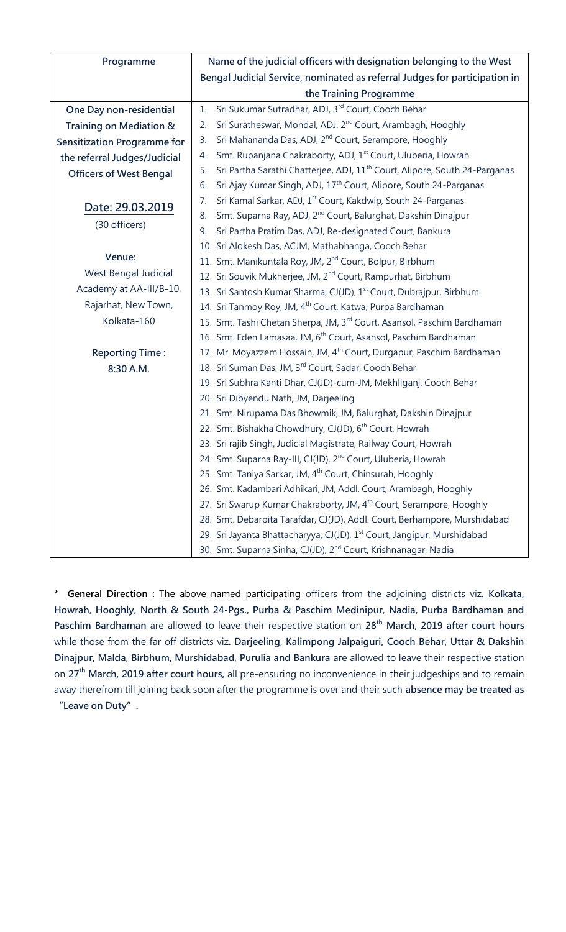| Programme                          | Name of the judicial officers with designation belonging to the West                         |
|------------------------------------|----------------------------------------------------------------------------------------------|
|                                    | Bengal Judicial Service, nominated as referral Judges for participation in                   |
|                                    | the Training Programme                                                                       |
| One Day non-residential            | Sri Sukumar Sutradhar, ADJ, 3rd Court, Cooch Behar<br>1.                                     |
| Training on Mediation &            | Sri Suratheswar, Mondal, ADJ, 2 <sup>nd</sup> Court, Arambagh, Hooghly<br>2.                 |
| <b>Sensitization Programme for</b> | Sri Mahananda Das, ADJ, 2 <sup>nd</sup> Court, Serampore, Hooghly<br>3.                      |
| the referral Judges/Judicial       | Smt. Rupanjana Chakraborty, ADJ, 1 <sup>st</sup> Court, Uluberia, Howrah<br>4.               |
| <b>Officers of West Bengal</b>     | Sri Partha Sarathi Chatterjee, ADJ, 11 <sup>th</sup> Court, Alipore, South 24-Parganas<br>5. |
|                                    | Sri Ajay Kumar Singh, ADJ, 17 <sup>th</sup> Court, Alipore, South 24-Parganas<br>6.          |
| Date: 29.03.2019                   | Sri Kamal Sarkar, ADJ, 1 <sup>st</sup> Court, Kakdwip, South 24-Parganas<br>7.               |
|                                    | Smt. Suparna Ray, ADJ, 2 <sup>nd</sup> Court, Balurghat, Dakshin Dinajpur<br>8.              |
| (30 officers)                      | Sri Partha Pratim Das, ADJ, Re-designated Court, Bankura<br>9.                               |
|                                    | 10. Sri Alokesh Das, ACJM, Mathabhanga, Cooch Behar                                          |
| Venue:                             | 11. Smt. Manikuntala Roy, JM, 2 <sup>nd</sup> Court, Bolpur, Birbhum                         |
| West Bengal Judicial               | 12. Sri Souvik Mukherjee, JM, 2 <sup>nd</sup> Court, Rampurhat, Birbhum                      |
| Academy at AA-III/B-10,            | 13. Sri Santosh Kumar Sharma, CJ(JD), 1 <sup>st</sup> Court, Dubrajpur, Birbhum              |
| Rajarhat, New Town,                | 14. Sri Tanmoy Roy, JM, 4 <sup>th</sup> Court, Katwa, Purba Bardhaman                        |
| Kolkata-160                        | 15. Smt. Tashi Chetan Sherpa, JM, 3 <sup>rd</sup> Court, Asansol, Paschim Bardhaman          |
|                                    | 16. Smt. Eden Lamasaa, JM, 6 <sup>th</sup> Court, Asansol, Paschim Bardhaman                 |
| <b>Reporting Time:</b>             | 17. Mr. Moyazzem Hossain, JM, 4 <sup>th</sup> Court, Durgapur, Paschim Bardhaman             |
| 8:30 A.M.                          | 18. Sri Suman Das, JM, 3rd Court, Sadar, Cooch Behar                                         |
|                                    | 19. Sri Subhra Kanti Dhar, CJ(JD)-cum-JM, Mekhliganj, Cooch Behar                            |
|                                    | 20. Sri Dibyendu Nath, JM, Darjeeling                                                        |
|                                    | 21. Smt. Nirupama Das Bhowmik, JM, Balurghat, Dakshin Dinajpur                               |
|                                    | 22. Smt. Bishakha Chowdhury, CJ(JD), 6 <sup>th</sup> Court, Howrah                           |
|                                    | 23. Sri rajib Singh, Judicial Magistrate, Railway Court, Howrah                              |
|                                    | 24. Smt. Suparna Ray-III, CJ(JD), 2 <sup>nd</sup> Court, Uluberia, Howrah                    |
|                                    | 25. Smt. Taniya Sarkar, JM, 4 <sup>th</sup> Court, Chinsurah, Hooghly                        |
|                                    | 26. Smt. Kadambari Adhikari, JM, Addl. Court, Arambagh, Hooghly                              |
|                                    | 27. Sri Swarup Kumar Chakraborty, JM, 4 <sup>th</sup> Court, Serampore, Hooghly              |
|                                    | 28. Smt. Debarpita Tarafdar, CJ(JD), Addl. Court, Berhampore, Murshidabad                    |
|                                    | 29. Sri Jayanta Bhattacharyya, CJ(JD), 1 <sup>st</sup> Court, Jangipur, Murshidabad          |
|                                    | 30. Smt. Suparna Sinha, CJ(JD), 2 <sup>nd</sup> Court, Krishnanagar, Nadia                   |

**\* General Direction :** The above named participating officers from the adjoining districts viz. **Kolkata, Howrah, Hooghly, North & South 24-Pgs., Purba & Paschim Medinipur, Nadia, Purba Bardhaman and Paschim Bardhaman** are allowed to leave their respective station on **28th March, 2019 after court hours** while those from the far off districts viz. **Darjeeling, Kalimpong Jalpaiguri, Cooch Behar, Uttar & Dakshin Dinajpur, Malda, Birbhum, Murshidabad, Purulia and Bankura** are allowed to leave their respective station on **27th March, 2019 after court hours,** all pre-ensuring no inconvenience in their judgeships and to remain away therefrom till joining back soon after the programme is over and their such **absence may be treated as "Leave on Duty".**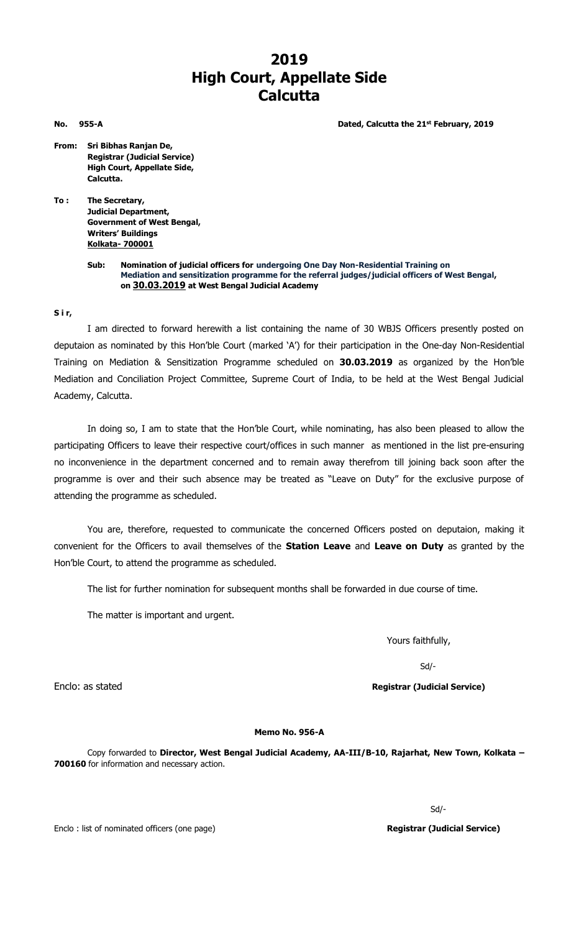# **2019 High Court, Appellate Side Calcutta**

**No.** 955-A **Dated, Calcutta the 21<sup>st</sup> February, 2019** 

- 
- **From: Sri Bibhas Ranjan De, Registrar (Judicial Service) High Court, Appellate Side, Calcutta.**
- **To : The Secretary, Judicial Department, Government of West Bengal, Writers' Buildings Kolkata- 700001**
	- **Sub: Nomination of judicial officers for undergoing One Day Non-Residential Training on Mediation and sensitization programme for the referral judges/judicial officers of West Bengal, on 30.03.2019 at West Bengal Judicial Academy**

### **S i r,**

I am directed to forward herewith a list containing the name of 30 WBJS Officers presently posted on deputaion as nominated by this Hon'ble Court (marked 'A') for their participation in the One-day Non-Residential Training on Mediation & Sensitization Programme scheduled on **30.03.2019** as organized by the Hon'ble Mediation and Conciliation Project Committee, Supreme Court of India, to be held at the West Bengal Judicial Academy, Calcutta.

In doing so, I am to state that the Hon'ble Court, while nominating, has also been pleased to allow the participating Officers to leave their respective court/offices in such manner as mentioned in the list pre-ensuring no inconvenience in the department concerned and to remain away therefrom till joining back soon after the programme is over and their such absence may be treated as "Leave on Duty" for the exclusive purpose of attending the programme as scheduled.

You are, therefore, requested to communicate the concerned Officers posted on deputaion, making it convenient for the Officers to avail themselves of the **Station Leave** and **Leave on Duty** as granted by the Hon'ble Court, to attend the programme as scheduled.

The list for further nomination for subsequent months shall be forwarded in due course of time.

The matter is important and urgent.

Yours faithfully,

Sd/-

Enclo: as stated **Registrar (Judicial Service)**

#### **Memo No. 956-A**

Copy forwarded to **Director, West Bengal Judicial Academy, AA-III/B-10, Rajarhat, New Town, Kolkata – 700160** for information and necessary action.

Sd/-

Enclo : list of nominated officers (one page) **Registrar (Judicial Service) Registrar (Judicial Service)**